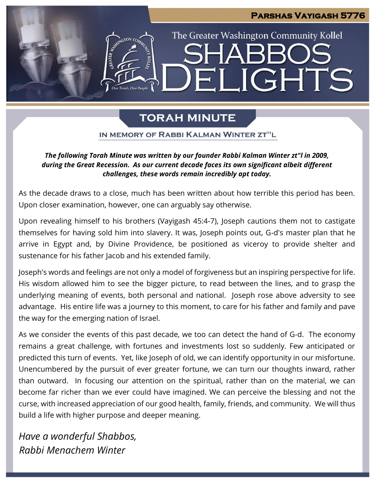# **Parshas Vayigash 5776** The Greater Washington Community Kollel LIGHTS F.I

# **TORAH MINUTE**

IN MEMORY OF RABBI KALMAN WINTER ZT"L

# *The following Torah Minute was written by our founder Rabbi Kalman Winter zt"l in 2009, during the Great Recession. As our current decade faces its own significant albeit different challenges, these words remain incredibly apt today.*

As the decade draws to a close, much has been written about how terrible this period has been. Upon closer examination, however, one can arguably say otherwise.

Upon revealing himself to his brothers (Vayigash 45:4-7), Joseph cautions them not to castigate themselves for having sold him into slavery. It was, Joseph points out, G-d's master plan that he arrive in Egypt and, by Divine Providence, be positioned as viceroy to provide shelter and sustenance for his father Jacob and his extended family.

Joseph's words and feelings are not only a model of forgiveness but an inspiring perspective for life. His wisdom allowed him to see the bigger picture, to read between the lines, and to grasp the underlying meaning of events, both personal and national. Joseph rose above adversity to see advantage. His entire life was a journey to this moment, to care for his father and family and pave the way for the emerging nation of Israel.

As we consider the events of this past decade, we too can detect the hand of G-d. The economy remains a great challenge, with fortunes and investments lost so suddenly. Few anticipated or predicted this turn of events. Yet, like Joseph of old, we can identify opportunity in our misfortune. Unencumbered by the pursuit of ever greater fortune, we can turn our thoughts inward, rather than outward. In focusing our attention on the spiritual, rather than on the material, we can become far richer than we ever could have imagined. We can perceive the blessing and not the curse, with increased appreciation of our good health, family, friends, and community. We will thus build a life with higher purpose and deeper meaning.

*Have a wonderful Shabbos, Rabbi Menachem Winter*